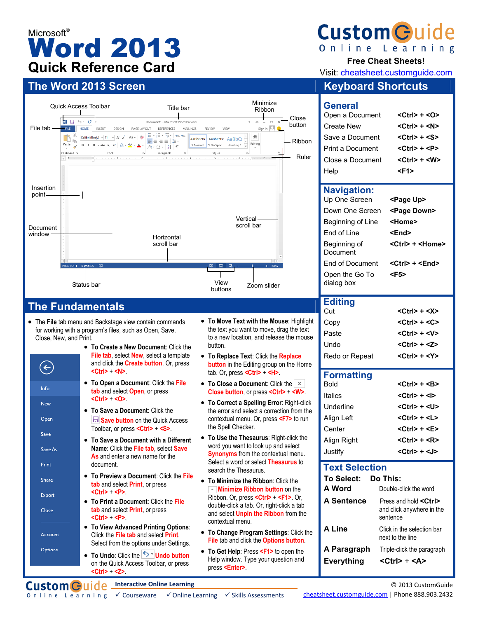# Microsoft<sup>®</sup> Word 2013 **Quick Reference Card**

# **The Word 2013 Screen Keyboard Shortcuts Keyboard Shortcuts**



## **The Fundamentals**

 $\leftarrow$ 

Info New Open Save Save As Print Share

Export Close

Account Options

- The **File** tab menu and Backstage view contain commands for working with a program's files, such as Open, Save, Close, New, and Print.
	- **To Create a New Document**: Click the **File tab**, select **New**, select a template and click the **Create button**. Or, press **<Ctrl>** + **<N>**. • **To Open a Document**: Click the **File tab** and select **Open**, or press **<Ctrl>** + **<O>**.
		- **To Save a Document**: Click the **Save button** on the Quick Access Toolbar, or press **<Ctrl>** + **<S>**.
		- **To Save a Document with a Different Name**: Click the **File tab**, select **Save As** and enter a new name for the document.
		- **To Preview a Document**: Click the **File tab** and select **Print**, or press **<Ctrl>** + **<P>**.
		- **To Print a Document**: Click the **File tab** and select **Print**, or press **<Ctrl>** + **<P>**.
		- **To View Advanced Printing Options**: Click the **File tab** and select **Print**. Select from the options under Settings.
		- **To Undo:** Click the **Example 1** Undo button on the Quick Access Toolbar, or press **<Ctrl>** + **<Z>**.
- **To Move Text with the Mouse**: Highlight the text you want to move, drag the text to a new location, and release the mouse button.
- **To Replace Text**: Click the **Replace button** in the Editing group on the Home tab. Or, press **<Ctrl>** + **<H>**.
- **To Close a Document:** Click the  $\vert x \vert$ **Close button**, or press **<Ctrl>** + **<W>**.
- **To Correct a Spelling Error**: Right-click the error and select a correction from the contextual menu. Or, press **<F7>** to run the Spell Checker.
- **To Use the Thesaurus**: Right-click the word you want to look up and select **Synonyms** from the contextual menu. Select a word or select **Thesaurus** to search the Thesaurus.
- **To Minimize the Ribbon**: Click the **Minimize Ribbon button** on the Ribbon. Or, press **<Ctrl>** + **<F1>**. Or, double-click a tab. Or, right-click a tab and select **Unpin the Ribbon** from the contextual menu.
- **To Change Program Settings**: Click the **File** tab and click the **Options button**.
- **To Get Help**: Press **<F1>** to open the Help window. Type your question and press **<Enter>**.



**Free Cheat Sheets!** 

Visit: cheatsheet.customguide.com

| General<br>Open a Document<br>Create New<br>Save a Document | $<$ Ctrl $>$ + $<$ O $>$<br><ctrl> + <n><br/><ctrl> + <s></s></ctrl></n></ctrl> |
|-------------------------------------------------------------|---------------------------------------------------------------------------------|
| Print a Document                                            | <ctrl> + <p></p></ctrl>                                                         |
| Close a Document                                            | $<$ Ctrl $>$ + $<$ W $>$                                                        |
| Help                                                        | <f1></f1>                                                                       |
| <b>Navigation:</b>                                          |                                                                                 |
| Up One Screen                                               | <page up=""></page>                                                             |
|                                                             |                                                                                 |
| Down One Screen                                             | <page down=""></page>                                                           |
| Beginning of Line                                           | <home></home>                                                                   |

| 니 비 비 니니                     | 96.IU <i>r</i>                |
|------------------------------|-------------------------------|
| Beginning of<br>Document     | <ctrl> + <home></home></ctrl> |
| End of Document              | <ctrl> + <end></end></ctrl>   |
| Open the Go To<br>dialog box | <f5></f5>                     |
| <b>Editing</b>               |                               |

| Cut            | $<$ Ctrl $>$ + $<$ X $>$ |
|----------------|--------------------------|
| Copy           | $<$ Ctrl $>$ + $<$ C $>$ |
| Paste          | $<$ Ctrl> + $<$ V>       |
| Undo           | $<$ Ctrl> + $<$ Z>       |
| Redo or Repeat | $<$ Ctrl $>$ + $<$ Y $>$ |

### **Formatting**

| Bold        | $<$ Ctrl $>$ + $<$ B $>$ |
|-------------|--------------------------|
| Italics     | $<$ Ctrl $>$ + $<$ l $>$ |
| Underline   | <ctrl> + <u></u></ctrl>  |
| Align Left  | $<$ Ctrl $>$ + $<$ L $>$ |
| Center      | $<$ Ctrl $>$ + $<$ E $>$ |
| Align Right | $<$ Ctrl $>$ + $<$ R $>$ |
| Justify     | $<$ Ctrl> + <j></j>      |

### **Text Selection**

| To Select:        | :Do This                                                                |
|-------------------|-------------------------------------------------------------------------|
| A Word            | Double-click the word                                                   |
| <b>A Sentence</b> | Press and hold <ctrl><br/>and click anywhere in the<br/>sentence</ctrl> |
| A Line            | Click in the selection bar<br>next to the line                          |
| A Paragraph       | Triple-click the paragraph                                              |
| <b>Everything</b> | <ctrl> + <a></a></ctrl>                                                 |

**Custom Guide** Interactive Online Learning

cheatsheet.customguide.com | Phone 888.903.2432

© 2013 CustomGuide